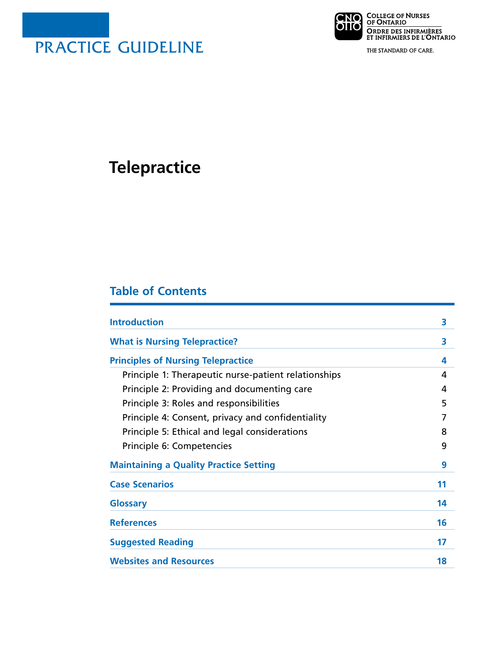

**CNO** COLLEGE OF NURSES<br>**ONO** OF ONTARIO ORDRE DES INFIRMIÈRES<br>ET INFIRMIERS DE L'ONTARIO

THE STANDARD OF CARE.

# **Telepractice**

# **Table of Contents**

| <b>Introduction</b>                                  | 3  |
|------------------------------------------------------|----|
| <b>What is Nursing Telepractice?</b>                 | 3  |
| <b>Principles of Nursing Telepractice</b>            | 4  |
| Principle 1: Therapeutic nurse-patient relationships | 4  |
| Principle 2: Providing and documenting care          | 4  |
| Principle 3: Roles and responsibilities              | 5  |
| Principle 4: Consent, privacy and confidentiality    |    |
| Principle 5: Ethical and legal considerations        | 8  |
| Principle 6: Competencies                            | 9  |
| <b>Maintaining a Quality Practice Setting</b>        | 9  |
| <b>Case Scenarios</b>                                | 11 |
| <b>Glossary</b>                                      | 14 |
| <b>References</b>                                    | 16 |
| <b>Suggested Reading</b>                             | 17 |
| <b>Websites and Resources</b>                        | 18 |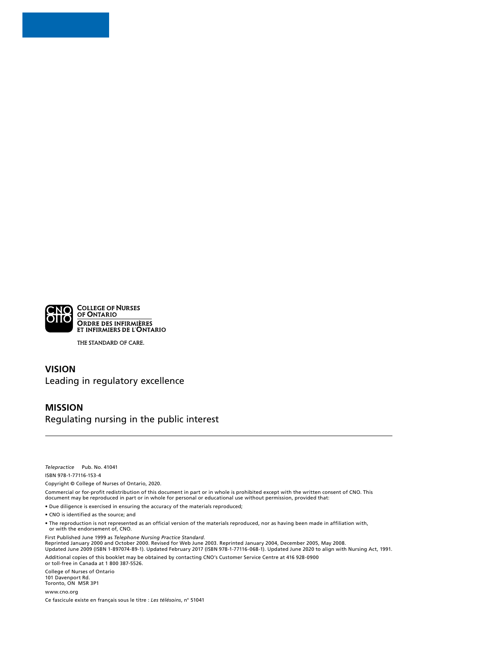

THE STANDARD OF CARE.

### **VISION** Leading in regulatory excellence

#### **MISSION**

Regulating nursing in the public interest

*Telepractice* Pub. No. 41041 ISBN 978-1-77116-153-4

Copyright © College of Nurses of Ontario, 2020.

Commercial or for-profit redistribution of this document in part or in whole is prohibited except with the written consent of CNO. This document may be reproduced in part or in whole for personal or educational use without permission, provided that:

• Due diligence is exercised in ensuring the accuracy of the materials reproduced;

• CNO is identified as the source; and

• The reproduction is not represented as an official version of the materials reproduced, nor as having been made in affiliation with, or with the endorsement of, CNO.

First Published June 1999 as *Telephone Nursing Practice Standard.* 

Reprinted January 2000 and October 2000. Revised for Web June 2003. Reprinted January 2004, December 2005, May 2008. Updated June 2009 (ISBN 1-897074-89-1). Updated February 2017 (ISBN 978-1-77116-068-1). Updated June 2020 to align with Nursing Act, 1991. Additional copies of this booklet may be obtained by contacting CNO's Customer Service Centre at 416 928-0900 or toll-free in Canada at 1 800 387-5526.

College of Nurses of Ontario

101 Davenport Rd. Toronto, ON M5R 3P1

[www.cno.org](http://www.cno.org) Ce fascicule existe en français sous le titre : *Les télésoins*, n° 51041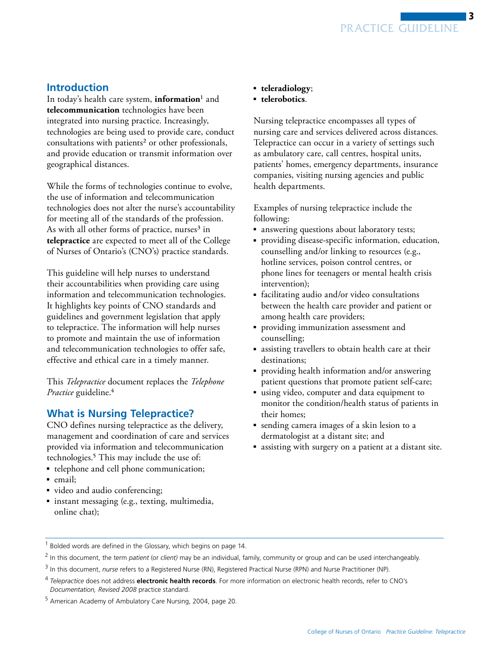# <span id="page-2-0"></span>**Introduction**

In today's health care system, **information**1 and **telecommunication** technologies have been integrated into nursing practice. Increasingly, technologies are being used to provide care, conduct consultations with patients<sup>2</sup> or other professionals, and provide education or transmit information over geographical distances.

While the forms of technologies continue to evolve, the use of information and telecommunication technologies does not alter the nurse's accountability for meeting all of the standards of the profession. As with all other forms of practice, nurses<sup>3</sup> in **telepractice** are expected to meet all of the College of Nurses of Ontario's (CNO's) practice standards.

This guideline will help nurses to understand their accountabilities when providing care using information and telecommunication technologies. It highlights key points of CNO standards and guidelines and government legislation that apply to telepractice. The information will help nurses to promote and maintain the use of information and telecommunication technologies to offer safe, effective and ethical care in a timely manner.

This *Telepractice* document replaces the *Telephone Practice* guideline.4

# **What is Nursing Telepractice?**

CNO defines nursing telepractice as the delivery, management and coordination of care and services provided via information and telecommunication technologies.5 This may include the use of:

- telephone and cell phone communication;
- email:
- ■ video and audio conferencing;
- instant messaging (e.g., texting, multimedia, online chat);
- ■ **teleradiology**;
- **telerobotics**.

Nursing telepractice encompasses all types of nursing care and services delivered across distances. Telepractice can occur in a variety of settings such as ambulatory care, call centres, hospital units, patients' homes, emergency departments, insurance companies, visiting nursing agencies and public health departments.

Examples of nursing telepractice include the following:

- answering questions about laboratory tests;
- ■ providing disease-specific information, education, counselling and/or linking to resources (e.g., hotline services, poison control centres, or phone lines for teenagers or mental health crisis intervention);
- facilitating audio and/or video consultations between the health care provider and patient or among health care providers;
- ■ providing immunization assessment and counselling;
- assisting travellers to obtain health care at their destinations;
- ■ providing health information and/or answering patient questions that promote patient self-care;
- using video, computer and data equipment to monitor the condition/health status of patients in their homes;
- ■ sending camera images of a skin lesion to a dermatologist at a distant site; and
- assisting with surgery on a patient at a distant site.

<sup>&</sup>lt;sup>1</sup> Bolded words are defined in the Glossary, which begins on page 14.

<sup>2</sup> In this document, the term *patient* (or *client)* may be an individual, family, community or group and can be used interchangeably.

<sup>3</sup>  In this document, *nurse* refers to a Registered Nurse (RN), Registered Practical Nurse (RPN) and Nurse Practitioner (NP).

<sup>4</sup>  *Telepractice* does not address **electronic health records**. For more information on electronic health records, refer to CNO's *Documentation, Revised 2008* practice standard.

<sup>&</sup>lt;sup>5</sup> American Academy of Ambulatory Care Nursing, 2004, page 20.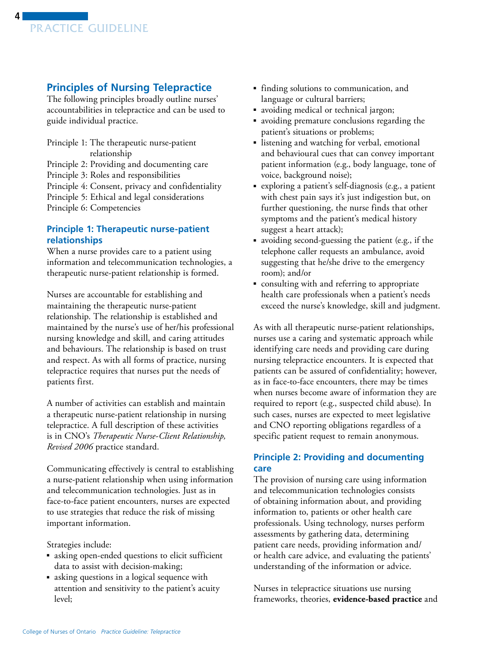# <span id="page-3-0"></span>**Principles of Nursing Telepractice**

The following principles broadly outline nurses' accountabilities in telepractice and can be used to guide individual practice.

Principle 1: The therapeutic nurse-patient relationship Principle 2: Providing and documenting care Principle 3: Roles and responsibilities Principle 4: Consent, privacy and confidentiality Principle 5: Ethical and legal considerations Principle 6: Competencies

#### **Principle 1: Therapeutic nurse-patient relationships**

When a nurse provides care to a patient using information and telecommunication technologies, a therapeutic nurse-patient relationship is formed.

Nurses are accountable for establishing and maintaining the therapeutic nurse-patient relationship. The relationship is established and maintained by the nurse's use of her/his professional nursing knowledge and skill, and caring attitudes and behaviours. The relationship is based on trust and respect. As with all forms of practice, nursing telepractice requires that nurses put the needs of patients first.

A number of activities can establish and maintain a therapeutic nurse-patient relationship in nursing telepractice. A full description of these activities is in CNO's *Therapeutic Nurse-Client Relationship, Revised 2006* practice standard.

Communicating effectively is central to establishing a nurse-patient relationship when using information and telecommunication technologies. Just as in face-to-face patient encounters, nurses are expected to use strategies that reduce the risk of missing important information.

Strategies include:

- asking open-ended questions to elicit sufficient data to assist with decision-making;
- asking questions in a logical sequence with attention and sensitivity to the patient's acuity level;
- ■ finding solutions to communication, and language or cultural barriers;
- avoiding medical or technical jargon;
- ■ avoiding premature conclusions regarding the patient's situations or problems;
- ■ listening and watching for verbal, emotional and behavioural cues that can convey important patient information (e.g., body language, tone of voice, background noise);
- ■ exploring a patient's self-diagnosis (e.g., a patient with chest pain says it's just indigestion but, on further questioning, the nurse finds that other symptoms and the patient's medical history suggest a heart attack);
- avoiding second-guessing the patient (e.g., if the telephone caller requests an ambulance, avoid suggesting that he/she drive to the emergency room); and/or
- ■ consulting with and referring to appropriate health care professionals when a patient's needs exceed the nurse's knowledge, skill and judgment.

As with all therapeutic nurse-patient relationships, nurses use a caring and systematic approach while identifying care needs and providing care during nursing telepractice encounters. It is expected that patients can be assured of confidentiality; however, as in face-to-face encounters, there may be times when nurses become aware of information they are required to report (e.g., suspected child abuse). In such cases, nurses are expected to meet legislative and CNO reporting obligations regardless of a specific patient request to remain anonymous.

### **Principle 2: Providing and documenting care**

The provision of nursing care using information and telecommunication technologies consists of obtaining information about, and providing information to, patients or other health care professionals. Using technology, nurses perform assessments by gathering data, determining patient care needs, providing information and/ or health care advice, and evaluating the patients' understanding of the information or advice.

Nurses in telepractice situations use nursing frameworks, theories, **evidence-based practice** and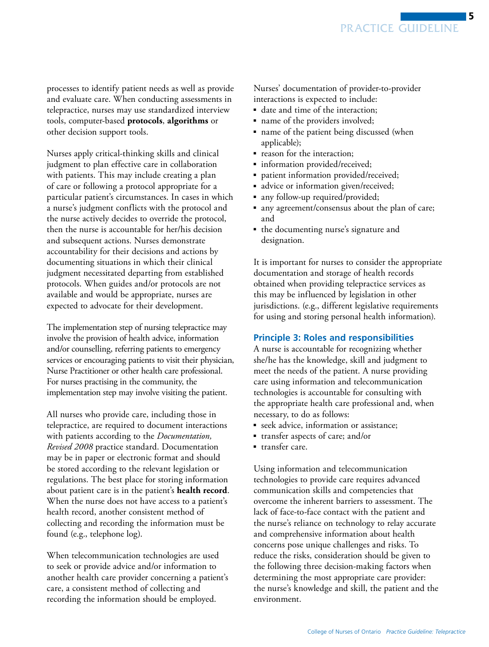<span id="page-4-0"></span>processes to identify patient needs as well as provide and evaluate care. When conducting assessments in telepractice, nurses may use standardized interview tools, computer-based **protocols**, **algorithms** or other decision support tools.

Nurses apply critical-thinking skills and clinical judgment to plan effective care in collaboration with patients. This may include creating a plan of care or following a protocol appropriate for a particular patient's circumstances. In cases in which a nurse's judgment conflicts with the protocol and the nurse actively decides to override the protocol, then the nurse is accountable for her/his decision and subsequent actions. Nurses demonstrate accountability for their decisions and actions by documenting situations in which their clinical judgment necessitated departing from established protocols. When guides and/or protocols are not available and would be appropriate, nurses are expected to advocate for their development.

The implementation step of nursing telepractice may involve the provision of health advice, information and/or counselling, referring patients to emergency services or encouraging patients to visit their physician, Nurse Practitioner or other health care professional. For nurses practising in the community, the implementation step may involve visiting the patient.

All nurses who provide care, including those in telepractice, are required to document interactions with patients according to the *Documentation, Revised 2008* practice standard. Documentation may be in paper or electronic format and should be stored according to the relevant legislation or regulations. The best place for storing information about patient care is in the patient's **health record**. When the nurse does not have access to a patient's health record, another consistent method of collecting and recording the information must be found (e.g., telephone log).

When telecommunication technologies are used to seek or provide advice and/or information to another health care provider concerning a patient's care, a consistent method of collecting and recording the information should be employed.

Nurses' documentation of provider-to-provider interactions is expected to include:

- date and time of the interaction;
- name of the providers involved;
- name of the patient being discussed (when applicable);
- reason for the interaction;
- information provided/received;
- patient information provided/received;
- advice or information given/received;
- any follow-up required/provided;
- any agreement/consensus about the plan of care; and
- the documenting nurse's signature and designation.

It is important for nurses to consider the appropriate documentation and storage of health records obtained when providing telepractice services as this may be influenced by legislation in other jurisdictions. (e.g., different legislative requirements for using and storing personal health information).

#### **Principle 3: Roles and responsibilities**

A nurse is accountable for recognizing whether she/he has the knowledge, skill and judgment to meet the needs of the patient. A nurse providing care using information and telecommunication technologies is accountable for consulting with the appropriate health care professional and, when necessary, to do as follows:

- seek advice, information or assistance;
- transfer aspects of care; and/or
- transfer care.

Using information and telecommunication technologies to provide care requires advanced communication skills and competencies that overcome the inherent barriers to assessment. The lack of face-to-face contact with the patient and the nurse's reliance on technology to relay accurate and comprehensive information about health concerns pose unique challenges and risks. To reduce the risks, consideration should be given to the following three decision-making factors when determining the most appropriate care provider: the nurse's knowledge and skill, the patient and the environment.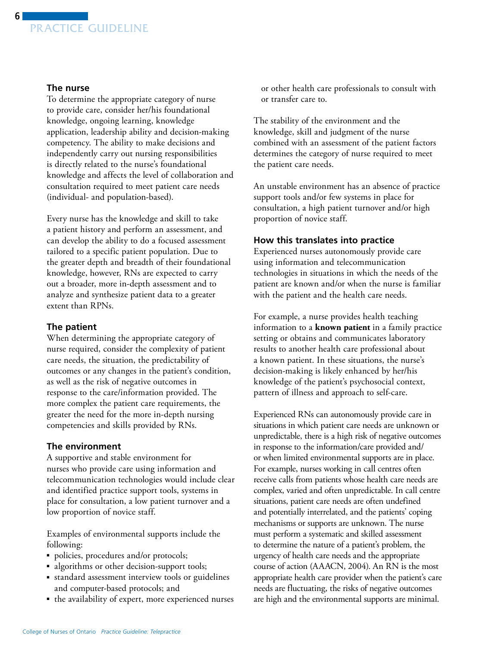

#### **The nurse**

To determine the appropriate category of nurse to provide care, consider her/his foundational knowledge, ongoing learning, knowledge application, leadership ability and decision-making competency. The ability to make decisions and independently carry out nursing responsibilities is directly related to the nurse's foundational knowledge and affects the level of collaboration and consultation required to meet patient care needs (individual- and population-based).

Every nurse has the knowledge and skill to take a patient history and perform an assessment, and can develop the ability to do a focused assessment tailored to a specific patient population. Due to the greater depth and breadth of their foundational knowledge, however, RNs are expected to carry out a broader, more in-depth assessment and to analyze and synthesize patient data to a greater extent than RPNs.

#### **The patient**

When determining the appropriate category of nurse required, consider the complexity of patient care needs, the situation, the predictability of outcomes or any changes in the patient's condition, as well as the risk of negative outcomes in response to the care/information provided. The more complex the patient care requirements, the greater the need for the more in-depth nursing competencies and skills provided by RNs.

#### **The environment**

A supportive and stable environment for nurses who provide care using information and telecommunication technologies would include clear and identified practice support tools, systems in place for consultation, a low patient turnover and a low proportion of novice staff.

Examples of environmental supports include the following:

- policies, procedures and/or protocols;
- ■ algorithms or other decision-support tools;
- standard assessment interview tools or guidelines and computer-based protocols; and
- the availability of expert, more experienced nurses

or other health care professionals to consult with or transfer care to.

The stability of the environment and the knowledge, skill and judgment of the nurse combined with an assessment of the patient factors determines the category of nurse required to meet the patient care needs.

An unstable environment has an absence of practice support tools and/or few systems in place for consultation, a high patient turnover and/or high proportion of novice staff.

#### **How this translates into practice**

Experienced nurses autonomously provide care using information and telecommunication technologies in situations in which the needs of the patient are known and/or when the nurse is familiar with the patient and the health care needs.

For example, a nurse provides health teaching information to a **known patient** in a family practice setting or obtains and communicates laboratory results to another health care professional about a known patient. In these situations, the nurse's decision-making is likely enhanced by her/his knowledge of the patient's psychosocial context, pattern of illness and approach to self-care.

Experienced RNs can autonomously provide care in situations in which patient care needs are unknown or unpredictable, there is a high risk of negative outcomes in response to the information/care provided and/ or when limited environmental supports are in place. For example, nurses working in call centres often receive calls from patients whose health care needs are complex, varied and often unpredictable. In call centre situations, patient care needs are often undefined and potentially interrelated, and the patients' coping mechanisms or supports are unknown. The nurse must perform a systematic and skilled assessment to determine the nature of a patient's problem, the urgency of health care needs and the appropriate course of action (AAACN, 2004). An RN is the most appropriate health care provider when the patient's care needs are fluctuating, the risks of negative outcomes are high and the environmental supports are minimal.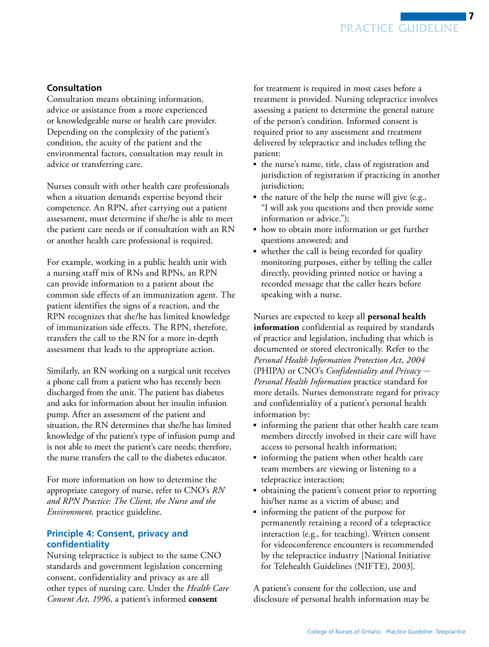### <span id="page-6-0"></span>**Consultation**

Consultation means obtaining information, advice or assistance from a more experienced or knowledgeable nurse or health care provider. Depending on the complexity of the patient's condition, the acuity of the patient and the environmental factors, consultation may result in advice or transferring care.

Nurses consult with other health care professionals when a situation demands expertise beyond their competence. An RPN, after carrying out a patient assessment, must determine if she/he is able to meet the patient care needs or if consultation with an RN or another health care professional is required.

For example, working in a public health unit with a nursing staff mix of RNs and RPNs, an RPN can provide information to a patient about the common side effects of an immunization agent. The patient identifies the signs of a reaction, and the RPN recognizes that she/he has limited knowledge of immunization side effects. The RPN, therefore, transfers the call to the RN for a more in-depth assessment that leads to the appropriate action.

the nurse transfers the call to the diabetes educator. Similarly, an RN working on a surgical unit receives a phone call from a patient who has recently been discharged from the unit. The patient has diabetes and asks for information about her insulin infusion pump. After an assessment of the patient and situation, the RN determines that she/he has limited knowledge of the patient's type of infusion pump and is not able to meet the patient's care needs; therefore,

For more information on how to determine the appropriate category of nurse, refer to CNO's *RN and RPN Practice: The Client, the Nurse and the Environment,* practice guideline.

### **Principle 4: Consent, privacy and confidentiality**

Nursing telepractice is subject to the same CNO standards and government legislation concerning consent, confidentiality and privacy as are all other types of nursing care. Under the *Health Care Consent Act, 1996*, a patient's informed **consent** 

for treatment is required in most cases before a treatment is provided. Nursing telepractice involves assessing a patient to determine the general nature of the person's condition. Informed consent is required prior to any assessment and treatment delivered by telepractice and includes telling the patient:

- the nurse's name, title, class of registration and jurisdiction of registration if practicing in another jurisdiction;
- the nature of the help the nurse will give (e.g., "I will ask you questions and then provide some information or advice.");
- how to obtain more information or get further questions answered; and
- whether the call is being recorded for quality monitoring purposes, either by telling the caller directly, providing printed notice or having a recorded message that the caller hears before speaking with a nurse.

Nurses are expected to keep all **personal health information** confidential as required by standards of practice and legislation, including that which is documented or stored electronically. Refer to the *Personal Health Information Protection Act*, *2004*  (PHIPA) or CNO's *Confidentiality and Privacy* — *Personal Health Information* practice standard for more details. Nurses demonstrate regard for privacy and confidentiality of a patient's personal health information by:

- informing the patient that other health care team members directly involved in their care will have access to personal health information;
- informing the patient when other health care team members are viewing or listening to a telepractice interaction;
- obtaining the patient's consent prior to reporting his/her name as a victim of abuse; and
- informing the patient of the purpose for permanently retaining a record of a telepractice interaction (e.g., for teaching). Written consent for videoconference encounters is recommended by the telepractice industry [National Initiative for Telehealth Guidelines (NIFTE), 2003].

A patient's consent for the collection, use and disclosure of personal health information may be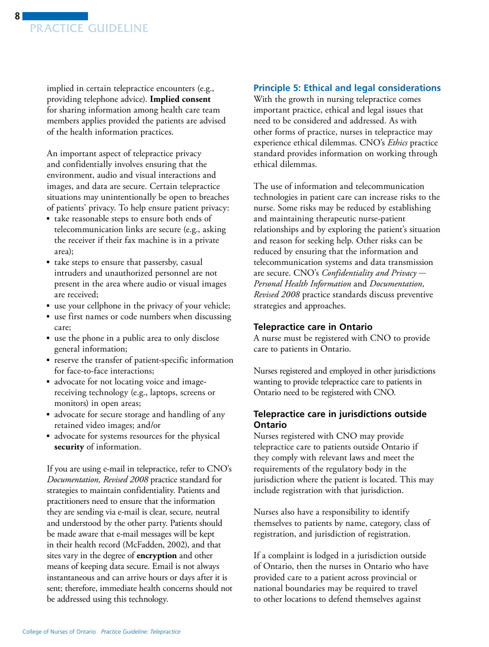<span id="page-7-0"></span>

implied in certain telepractice encounters (e.g., providing telephone advice). **Implied consent**  for sharing information among health care team members applies provided the patients are advised of the health information practices.

An important aspect of telepractice privacy and confidentially involves ensuring that the environment, audio and visual interactions and images, and data are secure. Certain telepractice situations may unintentionally be open to breaches of patients' privacy. To help ensure patient privacy:

- take reasonable steps to ensure both ends of telecommunication links are secure (e.g., asking the receiver if their fax machine is in a private area);
- take steps to ensure that passersby, casual intruders and unauthorized personnel are not present in the area where audio or visual images are received;
- use your cellphone in the privacy of your vehicle;
- use first names or code numbers when discussing care;
- use the phone in a public area to only disclose general information;
- reserve the transfer of patient-specific information for face-to-face interactions;
- advocate for not locating voice and imagereceiving technology (e.g., laptops, screens or monitors) in open areas;
- advocate for secure storage and handling of any retained video images; and/or
- advocate for systems resources for the physical **security** of information.

If you are using e-mail in telepractice, refer to CNO's *Documentation, Revised 2008* practice standard for strategies to maintain confidentiality. Patients and practitioners need to ensure that the information they are sending via e-mail is clear, secure, neutral and understood by the other party. Patients should be made aware that e-mail messages will be kept in their health record (McFadden, 2002), and that sites vary in the degree of **encryption** and other means of keeping data secure. Email is not always instantaneous and can arrive hours or days after it is sent; therefore, immediate health concerns should not be addressed using this technology.

#### **Principle 5: Ethical and legal considerations**

With the growth in nursing telepractice comes important practice, ethical and legal issues that need to be considered and addressed. As with other forms of practice, nurses in telepractice may experience ethical dilemmas. CNO's *Ethics* practice standard provides information on working through ethical dilemmas.

The use of information and telecommunication technologies in patient care can increase risks to the nurse. Some risks may be reduced by establishing and maintaining therapeutic nurse-patient relationships and by exploring the patient's situation and reason for seeking help. Other risks can be reduced by ensuring that the information and telecommunication systems and data transmission are secure. CNO's *Confidentiality and Privacy* — *Personal Health Information* and *Documentation, Revised 2008* practice standards discuss preventive strategies and approaches.

#### **Telepractice care in Ontario**

A nurse must be registered with CNO to provide care to patients in Ontario.

Nurses registered and employed in other jurisdictions wanting to provide telepractice care to patients in Ontario need to be registered with CNO.

#### **Telepractice care in jurisdictions outside Ontario**

Nurses registered with CNO may provide telepractice care to patients outside Ontario if they comply with relevant laws and meet the requirements of the regulatory body in the jurisdiction where the patient is located. This may include registration with that jurisdiction.

Nurses also have a responsibility to identify themselves to patients by name, category, class of registration, and jurisdiction of registration.

If a complaint is lodged in a jurisdiction outside of Ontario, then the nurses in Ontario who have provided care to a patient across provincial or national boundaries may be required to travel to other locations to defend themselves against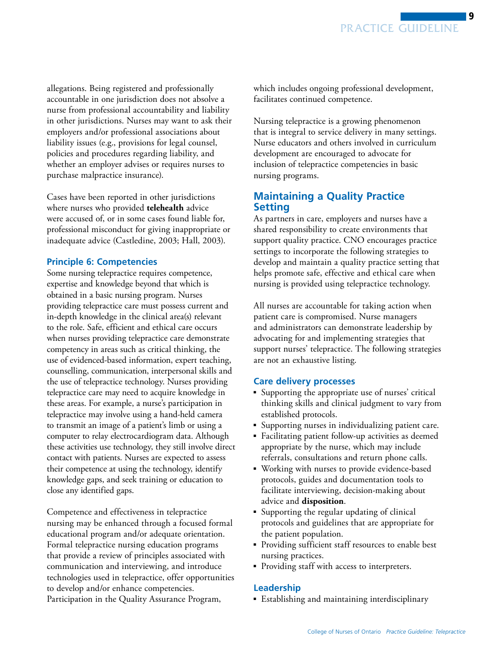<span id="page-8-0"></span>allegations. Being registered and professionally accountable in one jurisdiction does not absolve a nurse from professional accountability and liability in other jurisdictions. Nurses may want to ask their employers and/or professional associations about liability issues (e.g., provisions for legal counsel, policies and procedures regarding liability, and whether an employer advises or requires nurses to purchase malpractice insurance).

Cases have been reported in other jurisdictions where nurses who provided **telehealth** advice were accused of, or in some cases found liable for, professional misconduct for giving inappropriate or inadequate advice (Castledine, 2003; Hall, 2003).

#### **Principle 6: Competencies**

Some nursing telepractice requires competence, expertise and knowledge beyond that which is obtained in a basic nursing program. Nurses providing telepractice care must possess current and in-depth knowledge in the clinical area(s) relevant to the role. Safe, efficient and ethical care occurs when nurses providing telepractice care demonstrate competency in areas such as critical thinking, the use of evidenced-based information, expert teaching, counselling, communication, interpersonal skills and the use of telepractice technology. Nurses providing telepractice care may need to acquire knowledge in these areas. For example, a nurse's participation in telepractice may involve using a hand-held camera to transmit an image of a patient's limb or using a computer to relay electrocardiogram data. Although these activities use technology, they still involve direct contact with patients. Nurses are expected to assess their competence at using the technology, identify knowledge gaps, and seek training or education to close any identified gaps.

Competence and effectiveness in telepractice nursing may be enhanced through a focused formal educational program and/or adequate orientation. Formal telepractice nursing education programs that provide a review of principles associated with communication and interviewing, and introduce technologies used in telepractice, offer opportunities to develop and/or enhance competencies. Participation in the Quality Assurance Program,

which includes ongoing professional development, facilitates continued competence.

Nursing telepractice is a growing phenomenon that is integral to service delivery in many settings. Nurse educators and others involved in curriculum development are encouraged to advocate for inclusion of telepractice competencies in basic nursing programs.

## **Maintaining a Quality Practice Setting**

As partners in care, employers and nurses have a shared responsibility to create environments that support quality practice. CNO encourages practice settings to incorporate the following strategies to develop and maintain a quality practice setting that helps promote safe, effective and ethical care when nursing is provided using telepractice technology.

All nurses are accountable for taking action when patient care is compromised. Nurse managers and administrators can demonstrate leadership by advocating for and implementing strategies that support nurses' telepractice. The following strategies are not an exhaustive listing.

#### **Care delivery processes**

- Supporting the appropriate use of nurses' critical thinking skills and clinical judgment to vary from established protocols.
- Supporting nurses in individualizing patient care.
- ■ Facilitating patient follow-up activities as deemed appropriate by the nurse, which may include referrals, consultations and return phone calls.
- Working with nurses to provide evidence-based protocols, guides and documentation tools to facilitate interviewing, decision-making about advice and **disposition**.
- Supporting the regular updating of clinical protocols and guidelines that are appropriate for the patient population.
- ■ Providing sufficient staff resources to enable best nursing practices.
- Providing staff with access to interpreters.

#### **Leadership**

■ Establishing and maintaining interdisciplinary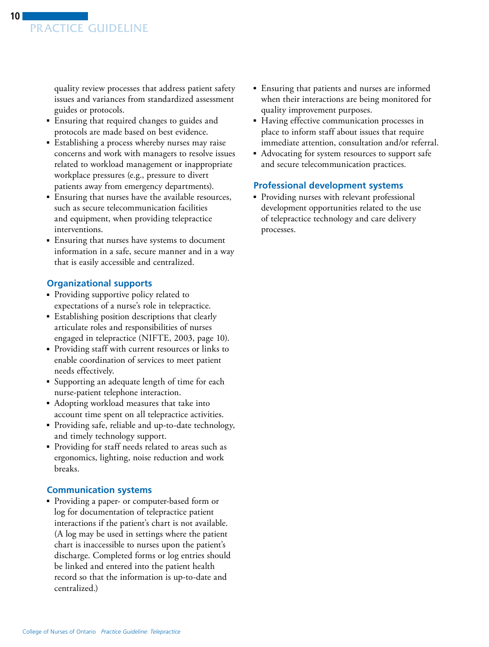quality review processes that address patient safety issues and variances from standardized assessment guides or protocols.

- Ensuring that required changes to guides and protocols are made based on best evidence.
- ■ Establishing a process whereby nurses may raise concerns and work with managers to resolve issues related to workload management or inappropriate workplace pressures (e.g., pressure to divert patients away from emergency departments).
- Ensuring that nurses have the available resources, such as secure telecommunication facilities and equipment, when providing telepractice interventions.
- ■ Ensuring that nurses have systems to document information in a safe, secure manner and in a way that is easily accessible and centralized.

#### **Organizational supports**

- Providing supportive policy related to expectations of a nurse's role in telepractice.
- Establishing position descriptions that clearly articulate roles and responsibilities of nurses engaged in telepractice (NIFTE, 2003, page 10).
- ■ Providing staff with current resources or links to enable coordination of services to meet patient needs effectively.
- ■ Supporting an adequate length of time for each nurse-patient telephone interaction.
- Adopting workload measures that take into account time spent on all telepractice activities.
- Providing safe, reliable and up-to-date technology, and timely technology support.
- ■ Providing for staff needs related to areas such as ergonomics, lighting, noise reduction and work breaks.

#### **Communication systems**

■ Providing a paper- or computer-based form or log for documentation of telepractice patient interactions if the patient's chart is not available. (A log may be used in settings where the patient chart is inaccessible to nurses upon the patient's discharge. Completed forms or log entries should be linked and entered into the patient health record so that the information is up-to-date and centralized.)

- Ensuring that patients and nurses are informed when their interactions are being monitored for quality improvement purposes.
- ■ Having effective communication processes in place to inform staff about issues that require immediate attention, consultation and/or referral.
- Advocating for system resources to support safe and secure telecommunication practices.

#### **Professional development systems**

■ Providing nurses with relevant professional development opportunities related to the use of telepractice technology and care delivery processes.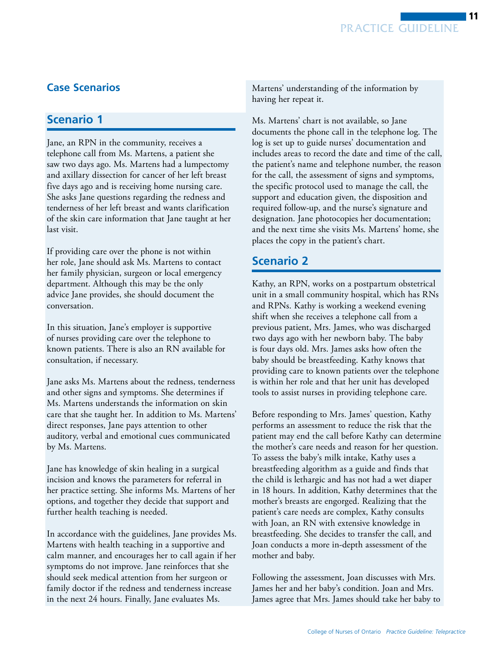# <span id="page-10-0"></span>**Case Scenarios**

# **Scenario 1**

Jane, an RPN in the community, receives a telephone call from Ms. Martens, a patient she saw two days ago. Ms. Martens had a lumpectomy and axillary dissection for cancer of her left breast five days ago and is receiving home nursing care. She asks Jane questions regarding the redness and tenderness of her left breast and wants clarification of the skin care information that Jane taught at her last visit.

If providing care over the phone is not within her role, Jane should ask Ms. Martens to contact her family physician, surgeon or local emergency department. Although this may be the only advice Jane provides, she should document the conversation.

In this situation, Jane's employer is supportive of nurses providing care over the telephone to known patients. There is also an RN available for consultation, if necessary.

Jane asks Ms. Martens about the redness, tenderness and other signs and symptoms. She determines if Ms. Martens understands the information on skin care that she taught her. In addition to Ms. Martens' direct responses, Jane pays attention to other auditory, verbal and emotional cues communicated by Ms. Martens.

Jane has knowledge of skin healing in a surgical incision and knows the parameters for referral in her practice setting. She informs Ms. Martens of her options, and together they decide that support and further health teaching is needed.

In accordance with the guidelines, Jane provides Ms. Martens with health teaching in a supportive and calm manner, and encourages her to call again if her symptoms do not improve. Jane reinforces that she should seek medical attention from her surgeon or family doctor if the redness and tenderness increase in the next 24 hours. Finally, Jane evaluates Ms.

Martens' understanding of the information by having her repeat it.

Ms. Martens' chart is not available, so Jane documents the phone call in the telephone log. The log is set up to guide nurses' documentation and includes areas to record the date and time of the call, the patient's name and telephone number, the reason for the call, the assessment of signs and symptoms, the specific protocol used to manage the call, the support and education given, the disposition and required follow-up, and the nurse's signature and designation. Jane photocopies her documentation; and the next time she visits Ms. Martens' home, she places the copy in the patient's chart.

# **Scenario 2**

Kathy, an RPN, works on a postpartum obstetrical unit in a small community hospital, which has RNs and RPNs. Kathy is working a weekend evening shift when she receives a telephone call from a previous patient, Mrs. James, who was discharged two days ago with her newborn baby. The baby is four days old. Mrs. James asks how often the baby should be breastfeeding. Kathy knows that providing care to known patients over the telephone is within her role and that her unit has developed tools to assist nurses in providing telephone care.

Before responding to Mrs. James' question, Kathy performs an assessment to reduce the risk that the patient may end the call before Kathy can determine the mother's care needs and reason for her question. To assess the baby's milk intake, Kathy uses a breastfeeding algorithm as a guide and finds that the child is lethargic and has not had a wet diaper in 18 hours. In addition, Kathy determines that the mother's breasts are engorged. Realizing that the patient's care needs are complex, Kathy consults with Joan, an RN with extensive knowledge in breastfeeding. She decides to transfer the call, and Joan conducts a more in-depth assessment of the mother and baby.

Following the assessment, Joan discusses with Mrs. James her and her baby's condition. Joan and Mrs. James agree that Mrs. James should take her baby to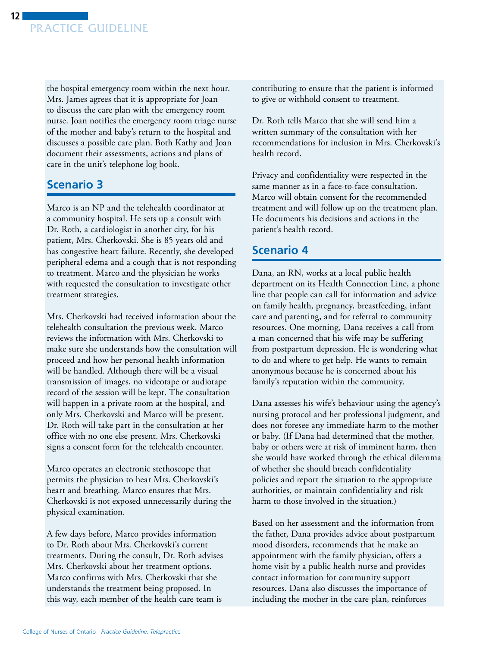the hospital emergency room within the next hour. Mrs. James agrees that it is appropriate for Joan to discuss the care plan with the emergency room nurse. Joan notifies the emergency room triage nurse of the mother and baby's return to the hospital and discusses a possible care plan. Both Kathy and Joan document their assessments, actions and plans of care in the unit's telephone log book.

# **Scenario 3**

Marco is an NP and the telehealth coordinator at a community hospital. He sets up a consult with Dr. Roth, a cardiologist in another city, for his patient, Mrs. Cherkovski. She is 85 years old and has congestive heart failure. Recently, she developed peripheral edema and a cough that is not responding to treatment. Marco and the physician he works with requested the consultation to investigate other treatment strategies.

Mrs. Cherkovski had received information about the telehealth consultation the previous week. Marco reviews the information with Mrs. Cherkovski to make sure she understands how the consultation will proceed and how her personal health information will be handled. Although there will be a visual transmission of images, no videotape or audiotape record of the session will be kept. The consultation will happen in a private room at the hospital, and only Mrs. Cherkovski and Marco will be present. Dr. Roth will take part in the consultation at her office with no one else present. Mrs. Cherkovski signs a consent form for the telehealth encounter.

Marco operates an electronic stethoscope that permits the physician to hear Mrs. Cherkovski's heart and breathing. Marco ensures that Mrs. Cherkovski is not exposed unnecessarily during the physical examination.

A few days before, Marco provides information to Dr. Roth about Mrs. Cherkovski's current treatments. During the consult, Dr. Roth advises Mrs. Cherkovski about her treatment options. Marco confirms with Mrs. Cherkovski that she understands the treatment being proposed. In this way, each member of the health care team is

contributing to ensure that the patient is informed to give or withhold consent to treatment.

Dr. Roth tells Marco that she will send him a written summary of the consultation with her recommendations for inclusion in Mrs. Cherkovski's health record.

Privacy and confidentiality were respected in the same manner as in a face-to-face consultation. Marco will obtain consent for the recommended treatment and will follow up on the treatment plan. He documents his decisions and actions in the patient's health record.

# **Scenario 4**

Dana, an RN, works at a local public health department on its Health Connection Line, a phone line that people can call for information and advice on family health, pregnancy, breastfeeding, infant care and parenting, and for referral to community resources. One morning, Dana receives a call from a man concerned that his wife may be suffering from postpartum depression. He is wondering what to do and where to get help. He wants to remain anonymous because he is concerned about his family's reputation within the community.

Dana assesses his wife's behaviour using the agency's nursing protocol and her professional judgment, and does not foresee any immediate harm to the mother or baby. (If Dana had determined that the mother, baby or others were at risk of imminent harm, then she would have worked through the ethical dilemma of whether she should breach confidentiality policies and report the situation to the appropriate authorities, or maintain confidentiality and risk harm to those involved in the situation.)

Based on her assessment and the information from the father, Dana provides advice about postpartum mood disorders, recommends that he make an appointment with the family physician, offers a home visit by a public health nurse and provides contact information for community support resources. Dana also discusses the importance of including the mother in the care plan, reinforces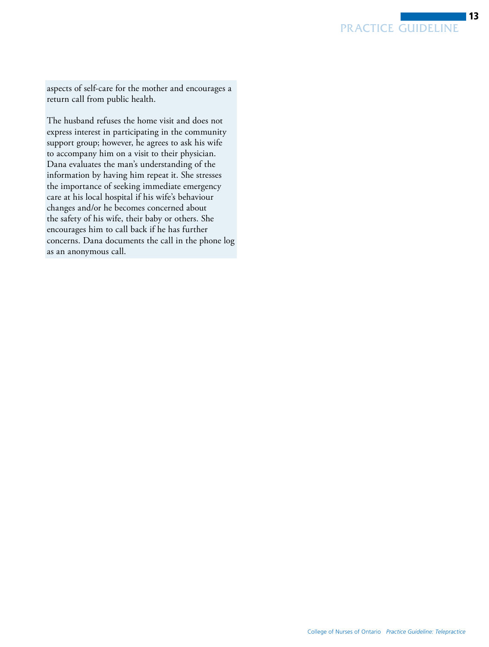aspects of self-care for the mother and encourages a return call from public health.

The husband refuses the home visit and does not express interest in participating in the community support group; however, he agrees to ask his wife to accompany him on a visit to their physician. Dana evaluates the man's understanding of the information by having him repeat it. She stresses the importance of seeking immediate emergency care at his local hospital if his wife's behaviour changes and/or he becomes concerned about the safety of his wife, their baby or others. She encourages him to call back if he has further concerns. Dana documents the call in the phone log as an anonymous call.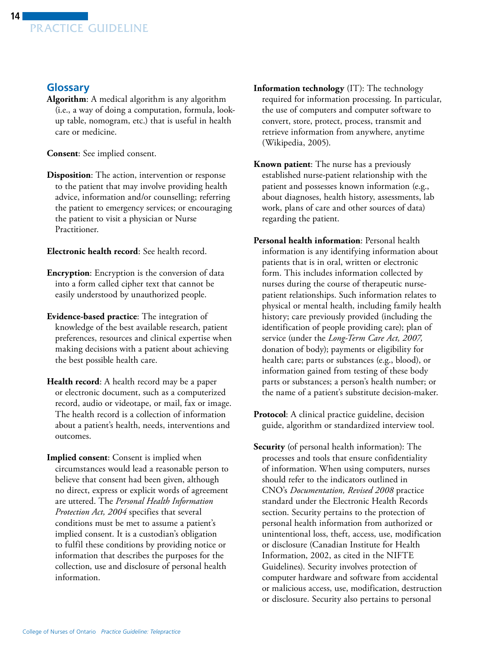# <span id="page-13-0"></span>**Glossary**

**Algorithm**: A medical algorithm is any algorithm (i.e., a way of doing a computation, formula, lookup table, nomogram, etc.) that is useful in health care or medicine.

**Consent**: See implied consent.

**Disposition**: The action, intervention or response to the patient that may involve providing health advice, information and/or counselling; referring the patient to emergency services; or encouraging the patient to visit a physician or Nurse Practitioner.

**Electronic health record**: See health record.

- **Encryption**: Encryption is the conversion of data into a form called cipher text that cannot be easily understood by unauthorized people.
- **Evidence-based practice**: The integration of knowledge of the best available research, patient preferences, resources and clinical expertise when making decisions with a patient about achieving the best possible health care.
- **Health record**: A health record may be a paper or electronic document, such as a computerized record, audio or videotape, or mail, fax or image. The health record is a collection of information about a patient's health, needs, interventions and outcomes.
- **Implied consent**: Consent is implied when circumstances would lead a reasonable person to believe that consent had been given, although no direct, express or explicit words of agreement are uttered. The *Personal Health Information Protection Act, 2004* specifies that several conditions must be met to assume a patient's implied consent. It is a custodian's obligation to fulfil these conditions by providing notice or information that describes the purposes for the collection, use and disclosure of personal health information.
- **Information technology** (IT): The technology required for information processing. In particular, the use of computers and computer software to convert, store, protect, process, transmit and retrieve information from anywhere, anytime (Wikipedia, 2005).
- **Known patient**: The nurse has a previously established nurse-patient relationship with the patient and possesses known information (e.g., about diagnoses, health history, assessments, lab work, plans of care and other sources of data) regarding the patient.
- **Personal health information**: Personal health information is any identifying information about patients that is in oral, written or electronic form. This includes information collected by nurses during the course of therapeutic nursepatient relationships. Such information relates to physical or mental health, including family health history; care previously provided (including the identification of people providing care); plan of service (under the *Long-Term Care Act, 2007,*  donation of body); payments or eligibility for health care; parts or substances (e.g., blood), or information gained from testing of these body parts or substances; a person's health number; or the name of a patient's substitute decision-maker.
- **Protocol**: A clinical practice guideline, decision guide, algorithm or standardized interview tool.
- **Security** (of personal health information): The processes and tools that ensure confidentiality of information. When using computers, nurses should refer to the indicators outlined in CNO's *Documentation, Revised 2008* practice standard under the Electronic Health Records section. Security pertains to the protection of personal health information from authorized or unintentional loss, theft, access, use, modification or disclosure (Canadian Institute for Health Information, 2002, as cited in the NIFTE Guidelines). Security involves protection of computer hardware and software from accidental or malicious access, use, modification, destruction or disclosure. Security also pertains to personal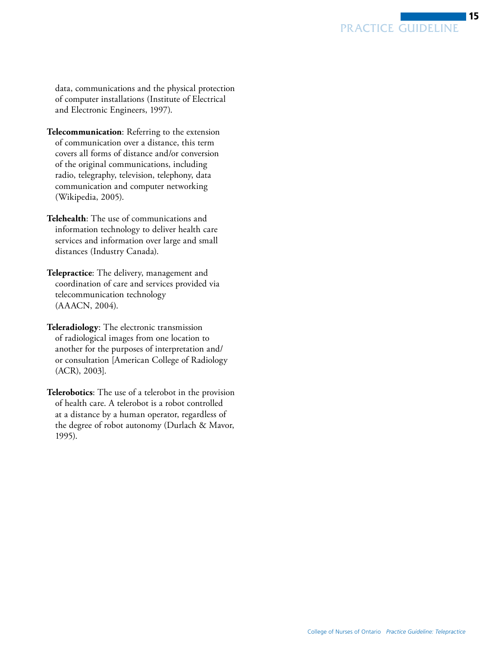data, communications and the physical protection of computer installations (Institute of Electrical and Electronic Engineers, 1997).

**Telecommunication**: Referring to the extension of communication over a distance, this term covers all forms of distance and/or conversion of the original communications, including radio, telegraphy, television, telephony, data communication and computer networking (Wikipedia, 2005).

**Telehealth**: The use of communications and information technology to deliver health care services and information over large and small distances (Industry Canada).

**Telepractice**: The delivery, management and coordination of care and services provided via telecommunication technology (AAACN, 2004).

**Teleradiology**: The electronic transmission of radiological images from one location to another for the purposes of interpretation and/ or consultation [American College of Radiology (ACR), 2003].

**Telerobotics**: The use of a telerobot in the provision of health care. A telerobot is a robot controlled at a distance by a human operator, regardless of the degree of robot autonomy (Durlach & Mavor, 1995).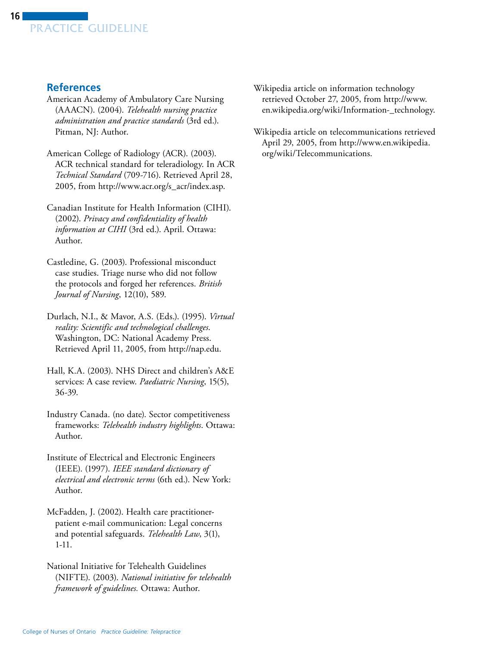# <span id="page-15-0"></span>**References**

- American Academy of Ambulatory Care Nursing (AAACN). (2004). *Telehealth nursing practice administration and practice standards* (3rd ed.). Pitman, NJ: Author.
- American College of Radiology (ACR). (2003). ACR technical standard for teleradiology. In ACR *Technical Standard* (709-716). Retrieved April 28, 2005, from http://www.acr.org/s\_acr/index.asp.
- Author. Canadian Institute for Health Information (CIHI). (2002). *Privacy and confidentiality of health information at CIHI* (3rd ed.). April. Ottawa:
- Castledine, G. (2003). Professional misconduct case studies. Triage nurse who did not follow the protocols and forged her references. *British Journal of Nursing*, 12(10), 589.
- Durlach, N.I., & Mavor, A.S. (Eds.). (1995). *Virtual reality: Scientific and technological challenges*. Washington, DC: National Academy Press. Retrieved April 11, 2005, from http://nap.edu.
- Hall, K.A. (2003). NHS Direct and children's A&E services: A case review. *Paediatric Nursing*, 15(5), 36-39.
- Industry Canada. (no date). Sector competitiveness frameworks: *Telehealth industry highlights*. Ottawa: Author.
- Institute of Electrical and Electronic Engineers (IEEE). (1997). *IEEE standard dictionary of electrical and electronic terms* (6th ed.). New York: Author.
- McFadden, J. (2002). Health care practitionerpatient e-mail communication: Legal concerns and potential safeguards. *Telehealth Law*, 3(1), 1-11.
- National Initiative for Telehealth Guidelines (NIFTE). (2003). *National initiative for telehealth framework of guidelines.* Ottawa: Author.
- Wikipedia article on information technology retrieved October 27, 2005, from [http://www.](http://www.en.wikipedia.org/wiki/Information-_technology)  [en.wikipedia.org/wiki/Information-\\_technology.](http://www.en.wikipedia.org/wiki/Information-_technology)
- Wikipedia article on telecommunications retrieved April 29, 2005, from http://www.en.wikipedia. [org/wiki/Telecommunications.](http://www.en.wikipedia.org/wiki/Telecommunications)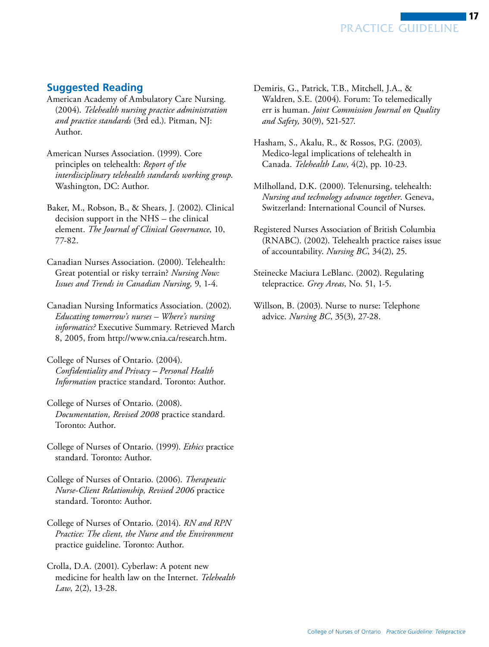

- <span id="page-16-0"></span>**Suggested Reading**
- American Academy of Ambulatory Care Nursing. (2004). *Telehealth nursing practice administration and practice standards* (3rd ed.). Pitman, NJ: Author.
- American Nurses Association. (1999). Core principles on telehealth: *Report of the interdisciplinary telehealth standards working group*. Washington, DC: Author.
- Baker, M., Robson, B., & Shears, J. (2002). Clinical decision support in the NHS – the clinical element. *The Journal of Clinical Governance*, 10, 77-82.
- Canadian Nurses Association. (2000). Telehealth: Great potential or risky terrain? *Nursing Now: Issues and Trends in Canadian Nursing,* 9, 1-4.
- Canadian Nursing Informatics Association. (2002). *Educating tomorrow's nurses – Where's nursing informatics?* Executive Summary. Retrieved March 8, 2005, from http://www.cnia.ca/research.htm.
- College of Nurses of Ontario. (2004). *Confidentiality and Privacy – Personal Health Information* practice standard. Toronto: Author.
- College of Nurses of Ontario. (2008). *Documentation, Revised 2008* practice standard. Toronto: Author.
- College of Nurses of Ontario. (1999). *Ethics* practice standard. Toronto: Author.
- College of Nurses of Ontario. (2006). *Therapeutic Nurse-Client Relationship, Revised 2006* practice standard. Toronto: Author.
- College of Nurses of Ontario. (2014). *RN and RPN Practice: The client, the Nurse and the Environment*  practice guideline. Toronto: Author.
- Crolla, D.A. (2001). Cyberlaw: A potent new medicine for health law on the Internet. *Telehealth Law*, 2(2), 13-28.

Demiris, G., Patrick, T.B., Mitchell, J.A., & Waldren, S.E. (2004). Forum: To telemedically err is human. *Joint Commission Journal on Quality and Safety,* 30(9), 521-527.

PRACTICE GUIDELINE

- Hasham, S., Akalu, R., & Rossos, P.G. (2003). Medico-legal implications of telehealth in Canada. *Telehealth Law*, 4(2), pp. 10-23.
- Milholland, D.K. (2000). Telenursing, telehealth: *Nursing and technology advance together*. Geneva, Switzerland: International Council of Nurses.
- Registered Nurses Association of British Columbia (RNABC). (2002). Telehealth practice raises issue of accountability. *Nursing BC*, 34(2), 25.
- Steinecke Maciura LeBlanc. (2002). Regulating telepractice. *Grey Areas*, No. 51, 1-5.
- Willson, B. (2003). Nurse to nurse: Telephone advice. *Nursing BC*, 35(3), 27-28.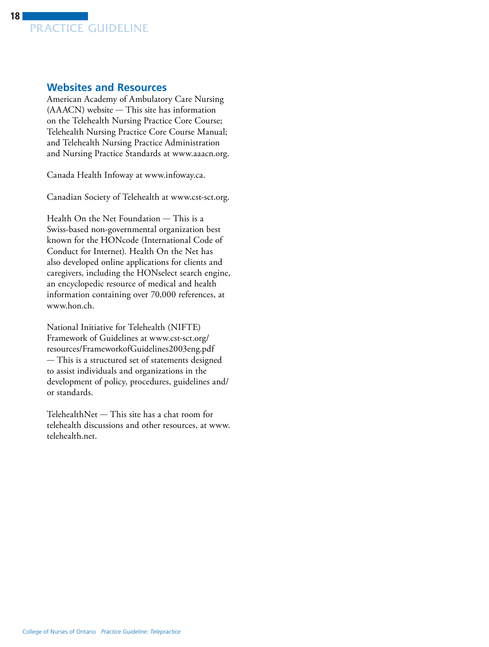<span id="page-17-0"></span>

### **Websites and Resources**

American Academy of Ambulatory Care Nursing (AAACN) website — This site has information on the Telehealth Nursing Practice Core Course; Telehealth Nursing Practice Core Course Manual; and Telehealth Nursing Practice Administration and Nursing Practice Standards at www.aaacn.org.

Canada Health Infoway at www.infoway.ca.

Canadian Society of Telehealth at www.cst-sct.org.

Health On the Net Foundation — This is a Swiss-based non-governmental organization best known for the HONcode (International Code of Conduct for Internet). Health On the Net has also developed online applications for clients and caregivers, including the HONselect search engine, an encyclopedic resource of medical and health information containing over 70,000 references, at www.hon.ch.

National Initiative for Telehealth (NIFTE) Framework of Guidelines at www.cst-sct.org/ [resources/FrameworkofGuidelines2003eng.pdf](http://www.cst-sct.org/resources/FrameworkofGuidelines2003eng.pdf)  — This is a structured set of statements designed to assist individuals and organizations in the development of policy, procedures, guidelines and/ or standards.

TelehealthNet — This site has a chat room for telehealth discussions and other resources, at [www.](http://www.telehealth.net)  telehealth.net.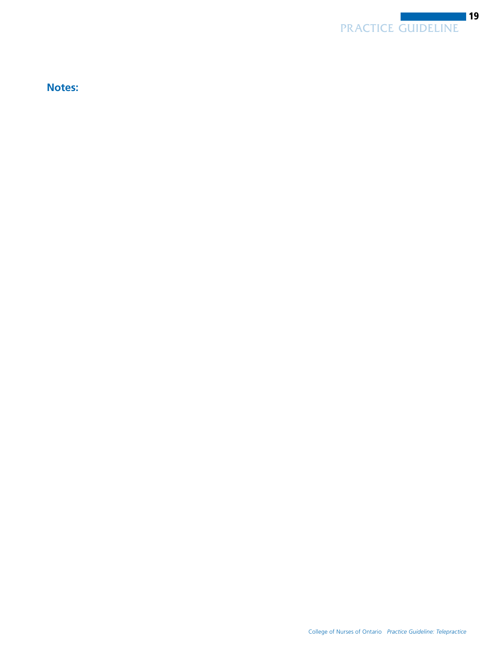

**Notes:**